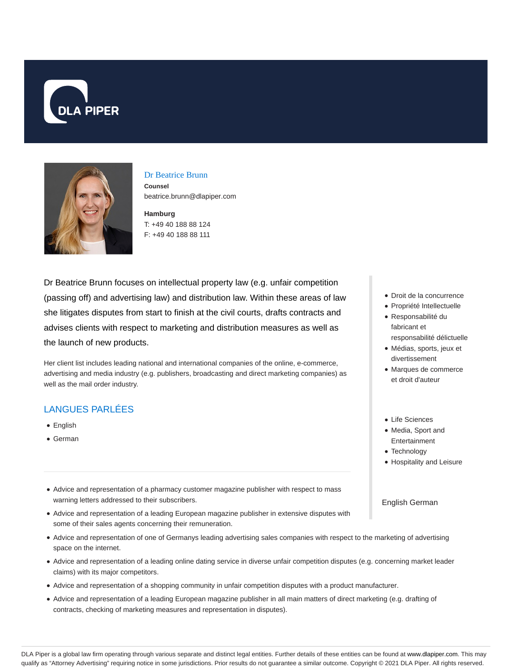



#### Dr Beatrice Brunn

**Counsel** beatrice.brunn@dlapiper.com

**Hamburg** T: +49 40 188 88 124 F: +49 40 188 88 111

Dr Beatrice Brunn focuses on intellectual property law (e.g. unfair competition (passing off) and advertising law) and distribution law. Within these areas of law she litigates disputes from start to finish at the civil courts, drafts contracts and advises clients with respect to marketing and distribution measures as well as the launch of new products.

Her client list includes leading national and international companies of the online, e-commerce, advertising and media industry (e.g. publishers, broadcasting and direct marketing companies) as well as the mail order industry.

# LANGUES PARLÉES

- English
- German
- Advice and representation of a pharmacy customer magazine publisher with respect to mass warning letters addressed to their subscribers.
- Advice and representation of a leading European magazine publisher in extensive disputes with some of their sales agents concerning their remuneration.
- Advice and representation of one of Germanys leading advertising sales companies with respect to the marketing of advertising space on the internet.
- Advice and representation of a leading online dating service in diverse unfair competition disputes (e.g. concerning market leader claims) with its major competitors.
- Advice and representation of a shopping community in unfair competition disputes with a product manufacturer.
- Advice and representation of a leading European magazine publisher in all main matters of direct marketing (e.g. drafting of contracts, checking of marketing measures and representation in disputes).
- Droit de la concurrence
- Propriété Intellectuelle
- Responsabilité du fabricant et responsabilité délictuelle
- Médias, sports, jeux et divertissement
- Marques de commerce et droit d'auteur
- Life Sciences
- Media, Sport and Entertainment
- Technology
- Hospitality and Leisure

#### English German